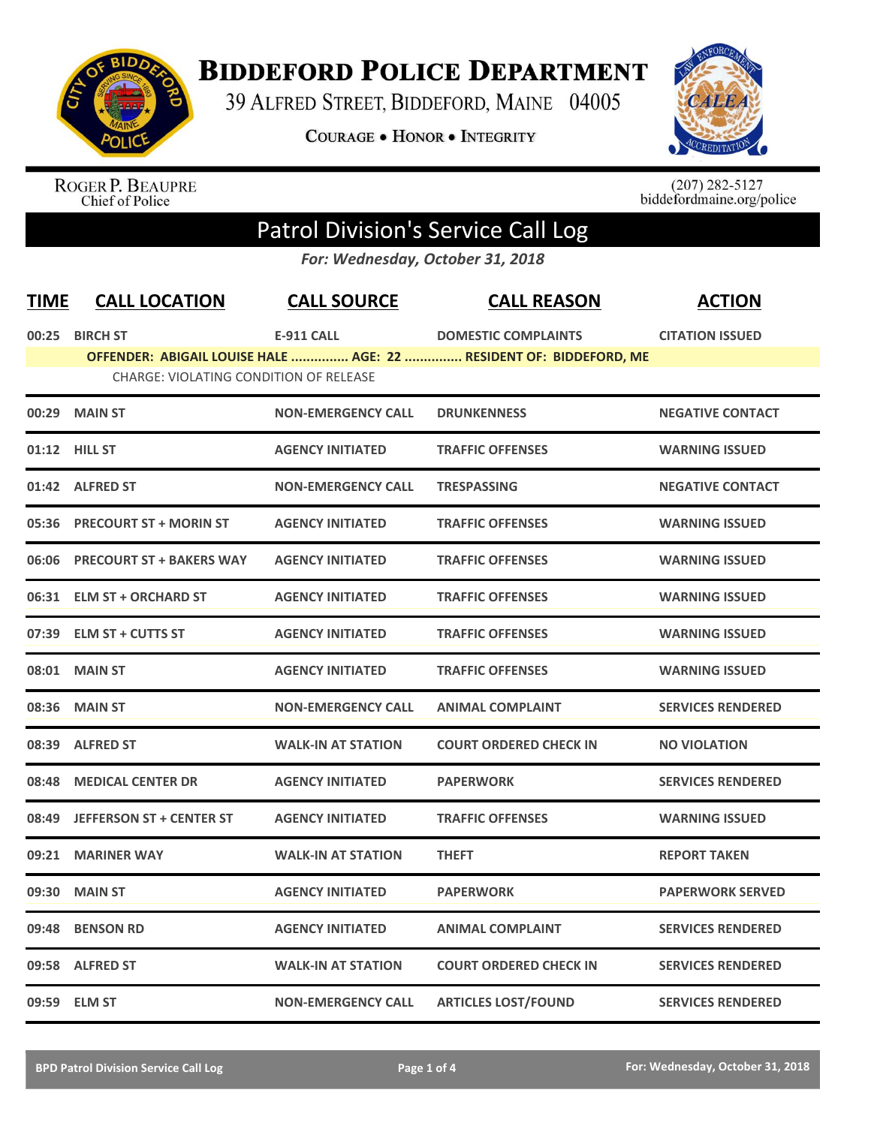

## **BIDDEFORD POLICE DEPARTMENT**

39 ALFRED STREET, BIDDEFORD, MAINE 04005

**COURAGE . HONOR . INTEGRITY** 



ROGER P. BEAUPRE<br>Chief of Police

 $(207)$  282-5127<br>biddefordmaine.org/police

## Patrol Division's Service Call Log

*For: Wednesday, October 31, 2018*

| <b>TIME</b> | <b>CALL LOCATION</b>                          | <b>CALL SOURCE</b>        | <b>CALL REASON</b>                                                 | <b>ACTION</b>            |
|-------------|-----------------------------------------------|---------------------------|--------------------------------------------------------------------|--------------------------|
|             | 00:25 BIRCH ST                                | <b>E-911 CALL</b>         | <b>DOMESTIC COMPLAINTS</b>                                         | <b>CITATION ISSUED</b>   |
|             | <b>CHARGE: VIOLATING CONDITION OF RELEASE</b> |                           | OFFENDER: ABIGAIL LOUISE HALE  AGE: 22  RESIDENT OF: BIDDEFORD, ME |                          |
|             |                                               |                           |                                                                    |                          |
| 00:29       | <b>MAIN ST</b>                                | <b>NON-EMERGENCY CALL</b> | <b>DRUNKENNESS</b>                                                 | <b>NEGATIVE CONTACT</b>  |
|             | 01:12 HILL ST                                 | <b>AGENCY INITIATED</b>   | <b>TRAFFIC OFFENSES</b>                                            | <b>WARNING ISSUED</b>    |
|             | 01:42 ALFRED ST                               | <b>NON-EMERGENCY CALL</b> | <b>TRESPASSING</b>                                                 | <b>NEGATIVE CONTACT</b>  |
| 05:36       | <b>PRECOURT ST + MORIN ST</b>                 | <b>AGENCY INITIATED</b>   | <b>TRAFFIC OFFENSES</b>                                            | <b>WARNING ISSUED</b>    |
| 06:06       | <b>PRECOURT ST + BAKERS WAY</b>               | <b>AGENCY INITIATED</b>   | <b>TRAFFIC OFFENSES</b>                                            | <b>WARNING ISSUED</b>    |
| 06:31       | <b>ELM ST + ORCHARD ST</b>                    | <b>AGENCY INITIATED</b>   | <b>TRAFFIC OFFENSES</b>                                            | <b>WARNING ISSUED</b>    |
| 07:39       | <b>ELM ST + CUTTS ST</b>                      | <b>AGENCY INITIATED</b>   | <b>TRAFFIC OFFENSES</b>                                            | <b>WARNING ISSUED</b>    |
| 08:01       | <b>MAIN ST</b>                                | <b>AGENCY INITIATED</b>   | <b>TRAFFIC OFFENSES</b>                                            | <b>WARNING ISSUED</b>    |
| 08:36       | <b>MAIN ST</b>                                | <b>NON-EMERGENCY CALL</b> | <b>ANIMAL COMPLAINT</b>                                            | <b>SERVICES RENDERED</b> |
| 08:39       | <b>ALFRED ST</b>                              | <b>WALK-IN AT STATION</b> | <b>COURT ORDERED CHECK IN</b>                                      | <b>NO VIOLATION</b>      |
| 08:48       | <b>MEDICAL CENTER DR</b>                      | <b>AGENCY INITIATED</b>   | <b>PAPERWORK</b>                                                   | <b>SERVICES RENDERED</b> |
| 08:49       | <b>JEFFERSON ST + CENTER ST</b>               | <b>AGENCY INITIATED</b>   | <b>TRAFFIC OFFENSES</b>                                            | <b>WARNING ISSUED</b>    |
| 09:21       | <b>MARINER WAY</b>                            | <b>WALK-IN AT STATION</b> | <b>THEFT</b>                                                       | <b>REPORT TAKEN</b>      |
| 09:30       | <b>MAIN ST</b>                                | <b>AGENCY INITIATED</b>   | <b>PAPERWORK</b>                                                   | <b>PAPERWORK SERVED</b>  |
| 09:48       | <b>BENSON RD</b>                              | <b>AGENCY INITIATED</b>   | <b>ANIMAL COMPLAINT</b>                                            | <b>SERVICES RENDERED</b> |
| 09:58       | <b>ALFRED ST</b>                              | <b>WALK-IN AT STATION</b> | <b>COURT ORDERED CHECK IN</b>                                      | <b>SERVICES RENDERED</b> |
|             | 09:59 ELM ST                                  | <b>NON-EMERGENCY CALL</b> | <b>ARTICLES LOST/FOUND</b>                                         | <b>SERVICES RENDERED</b> |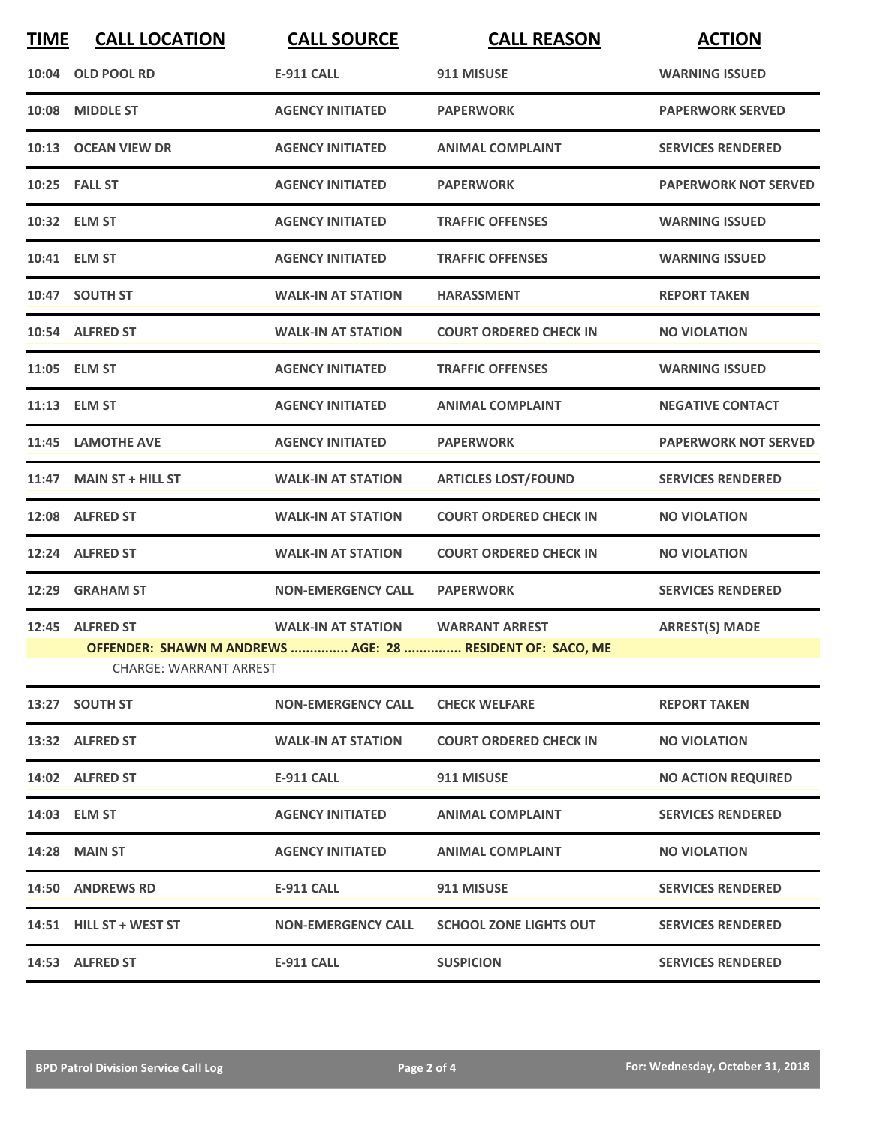| <b>TIME</b> | <b>CALL LOCATION</b>                             | <b>CALL SOURCE</b>        | <b>CALL REASON</b>                                                                 | <b>ACTION</b>               |
|-------------|--------------------------------------------------|---------------------------|------------------------------------------------------------------------------------|-----------------------------|
|             | 10:04 OLD POOL RD                                | <b>E-911 CALL</b>         | 911 MISUSE                                                                         | <b>WARNING ISSUED</b>       |
|             | 10:08 MIDDLE ST                                  | <b>AGENCY INITIATED</b>   | <b>PAPERWORK</b>                                                                   | <b>PAPERWORK SERVED</b>     |
|             | 10:13 OCEAN VIEW DR                              | <b>AGENCY INITIATED</b>   | <b>ANIMAL COMPLAINT</b>                                                            | <b>SERVICES RENDERED</b>    |
|             | 10:25 FALL ST                                    | <b>AGENCY INITIATED</b>   | <b>PAPERWORK</b>                                                                   | <b>PAPERWORK NOT SERVED</b> |
|             | 10:32 ELM ST                                     | <b>AGENCY INITIATED</b>   | <b>TRAFFIC OFFENSES</b>                                                            | <b>WARNING ISSUED</b>       |
|             | 10:41 ELM ST                                     | <b>AGENCY INITIATED</b>   | <b>TRAFFIC OFFENSES</b>                                                            | <b>WARNING ISSUED</b>       |
|             | 10:47 SOUTH ST                                   | <b>WALK-IN AT STATION</b> | <b>HARASSMENT</b>                                                                  | <b>REPORT TAKEN</b>         |
|             | 10:54 ALFRED ST                                  | <b>WALK-IN AT STATION</b> | <b>COURT ORDERED CHECK IN</b>                                                      | <b>NO VIOLATION</b>         |
|             | 11:05 ELM ST                                     | <b>AGENCY INITIATED</b>   | <b>TRAFFIC OFFENSES</b>                                                            | <b>WARNING ISSUED</b>       |
|             | 11:13 ELM ST                                     | <b>AGENCY INITIATED</b>   | <b>ANIMAL COMPLAINT</b>                                                            | <b>NEGATIVE CONTACT</b>     |
|             | 11:45 LAMOTHE AVE                                | <b>AGENCY INITIATED</b>   | <b>PAPERWORK</b>                                                                   | <b>PAPERWORK NOT SERVED</b> |
| 11:47       | <b>MAIN ST + HILL ST</b>                         | <b>WALK-IN AT STATION</b> | <b>ARTICLES LOST/FOUND</b>                                                         | <b>SERVICES RENDERED</b>    |
|             | 12:08 ALFRED ST                                  | <b>WALK-IN AT STATION</b> | <b>COURT ORDERED CHECK IN</b>                                                      | <b>NO VIOLATION</b>         |
|             | 12:24 ALFRED ST                                  | <b>WALK-IN AT STATION</b> | <b>COURT ORDERED CHECK IN</b>                                                      | <b>NO VIOLATION</b>         |
| 12:29       | <b>GRAHAM ST</b>                                 | <b>NON-EMERGENCY CALL</b> | <b>PAPERWORK</b>                                                                   | <b>SERVICES RENDERED</b>    |
|             | 12:45 ALFRED ST<br><b>CHARGE: WARRANT ARREST</b> | <b>WALK-IN AT STATION</b> | <b>WARRANT ARREST</b><br>OFFENDER: SHAWN M ANDREWS  AGE: 28  RESIDENT OF: SACO, ME | <b>ARREST(S) MADE</b>       |
|             | 13:27 SOUTH ST                                   | <b>NON-EMERGENCY CALL</b> | <b>CHECK WELFARE</b>                                                               | <b>REPORT TAKEN</b>         |
|             | 13:32 ALFRED ST                                  | <b>WALK-IN AT STATION</b> | <b>COURT ORDERED CHECK IN</b>                                                      | <b>NO VIOLATION</b>         |
|             | 14:02 ALFRED ST                                  | <b>E-911 CALL</b>         | 911 MISUSE                                                                         | <b>NO ACTION REQUIRED</b>   |
|             | 14:03 ELM ST                                     | <b>AGENCY INITIATED</b>   | <b>ANIMAL COMPLAINT</b>                                                            | <b>SERVICES RENDERED</b>    |
|             | <b>14:28 MAIN ST</b>                             | <b>AGENCY INITIATED</b>   | <b>ANIMAL COMPLAINT</b>                                                            | <b>NO VIOLATION</b>         |
|             | 14:50 ANDREWS RD                                 | <b>E-911 CALL</b>         | 911 MISUSE                                                                         | <b>SERVICES RENDERED</b>    |
|             | 14:51 HILL ST + WEST ST                          | <b>NON-EMERGENCY CALL</b> | <b>SCHOOL ZONE LIGHTS OUT</b>                                                      | <b>SERVICES RENDERED</b>    |
|             | 14:53 ALFRED ST                                  | <b>E-911 CALL</b>         | <b>SUSPICION</b>                                                                   | <b>SERVICES RENDERED</b>    |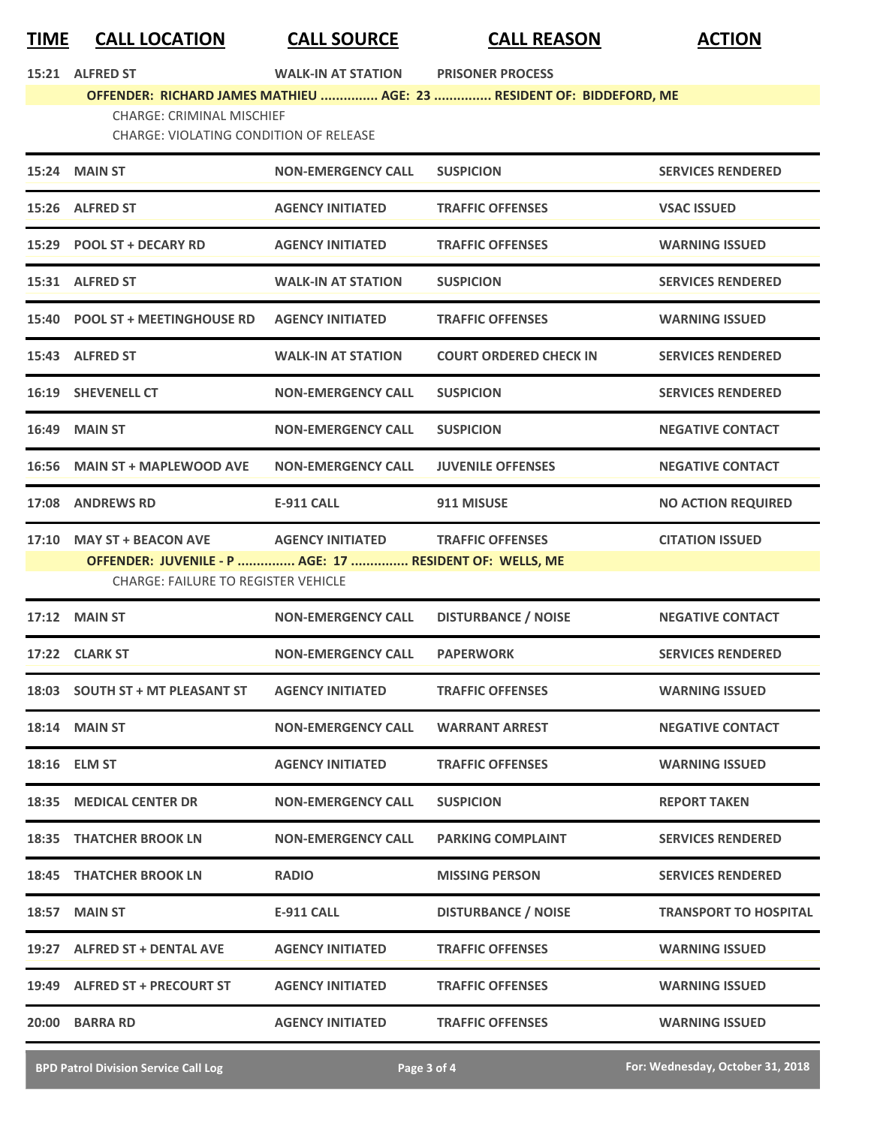## **TIME CALL LOCATION CALL SOURCE CALL REASON ACTION**

| 15:21 | <b>ALFRED ST</b> |  |
|-------|------------------|--|
|-------|------------------|--|

**15:21 ALFRED ST WALK-IN AT STATION PRISONER PROCESS** 

## **OFFENDER: RICHARD JAMES MATHIEU ............... AGE: 23 ............... RESIDENT OF: BIDDEFORD, ME**

CHARGE: CRIMINAL MISCHIEF

CHARGE: VIOLATING CONDITION OF RELEASE

|       | 15:24 MAIN ST                                                                                                                      | <b>NON-EMERGENCY CALL</b> | <b>SUSPICION</b>              | <b>SERVICES RENDERED</b>     |
|-------|------------------------------------------------------------------------------------------------------------------------------------|---------------------------|-------------------------------|------------------------------|
|       | 15:26 ALFRED ST                                                                                                                    | <b>AGENCY INITIATED</b>   | <b>TRAFFIC OFFENSES</b>       | <b>VSAC ISSUED</b>           |
|       | 15:29 POOL ST + DECARY RD                                                                                                          | <b>AGENCY INITIATED</b>   | <b>TRAFFIC OFFENSES</b>       | <b>WARNING ISSUED</b>        |
|       | 15:31 ALFRED ST                                                                                                                    | <b>WALK-IN AT STATION</b> | <b>SUSPICION</b>              | <b>SERVICES RENDERED</b>     |
|       | 15:40 POOL ST + MEETINGHOUSE RD                                                                                                    | <b>AGENCY INITIATED</b>   | <b>TRAFFIC OFFENSES</b>       | <b>WARNING ISSUED</b>        |
|       | 15:43 ALFRED ST                                                                                                                    | <b>WALK-IN AT STATION</b> | <b>COURT ORDERED CHECK IN</b> | <b>SERVICES RENDERED</b>     |
|       | 16:19 SHEVENELL CT                                                                                                                 | <b>NON-EMERGENCY CALL</b> | <b>SUSPICION</b>              | <b>SERVICES RENDERED</b>     |
|       | <b>16:49 MAIN ST</b>                                                                                                               | <b>NON-EMERGENCY CALL</b> | <b>SUSPICION</b>              | <b>NEGATIVE CONTACT</b>      |
|       | 16:56 MAIN ST + MAPLEWOOD AVE                                                                                                      | <b>NON-EMERGENCY CALL</b> | <b>JUVENILE OFFENSES</b>      | <b>NEGATIVE CONTACT</b>      |
|       | 17:08 ANDREWS RD                                                                                                                   | <b>E-911 CALL</b>         | 911 MISUSE                    | <b>NO ACTION REQUIRED</b>    |
|       | 17:10 MAY ST + BEACON AVE<br>OFFENDER: JUVENILE - P  AGE: 17  RESIDENT OF: WELLS, ME<br><b>CHARGE: FAILURE TO REGISTER VEHICLE</b> | <b>AGENCY INITIATED</b>   | <b>TRAFFIC OFFENSES</b>       | <b>CITATION ISSUED</b>       |
| 17:12 | <b>MAIN ST</b>                                                                                                                     | <b>NON-EMERGENCY CALL</b> | <b>DISTURBANCE / NOISE</b>    | <b>NEGATIVE CONTACT</b>      |
|       | 17:22 CLARK ST                                                                                                                     | <b>NON-EMERGENCY CALL</b> | <b>PAPERWORK</b>              | <b>SERVICES RENDERED</b>     |
|       | 18:03 SOUTH ST + MT PLEASANT ST                                                                                                    | <b>AGENCY INITIATED</b>   | <b>TRAFFIC OFFENSES</b>       | <b>WARNING ISSUED</b>        |
| 18:14 | <b>MAIN ST</b>                                                                                                                     | <b>NON-EMERGENCY CALL</b> | <b>WARRANT ARREST</b>         | <b>NEGATIVE CONTACT</b>      |
|       | 18:16 ELM ST                                                                                                                       | <b>AGENCY INITIATED</b>   | <b>TRAFFIC OFFENSES</b>       | <b>WARNING ISSUED</b>        |
|       | 18:35 MEDICAL CENTER DR                                                                                                            | <b>NON-EMERGENCY CALL</b> | <b>SUSPICION</b>              | <b>REPORT TAKEN</b>          |
|       | <b>18:35 THATCHER BROOK LN</b>                                                                                                     | <b>NON-EMERGENCY CALL</b> | <b>PARKING COMPLAINT</b>      | <b>SERVICES RENDERED</b>     |
|       | <b>18:45 THATCHER BROOK LN</b>                                                                                                     | <b>RADIO</b>              | <b>MISSING PERSON</b>         | <b>SERVICES RENDERED</b>     |
| 18:57 | <b>MAIN ST</b>                                                                                                                     | <b>E-911 CALL</b>         | <b>DISTURBANCE / NOISE</b>    | <b>TRANSPORT TO HOSPITAL</b> |
|       | 19:27 ALFRED ST + DENTAL AVE                                                                                                       | <b>AGENCY INITIATED</b>   | <b>TRAFFIC OFFENSES</b>       | <b>WARNING ISSUED</b>        |
|       | 19:49 ALFRED ST + PRECOURT ST                                                                                                      | <b>AGENCY INITIATED</b>   | <b>TRAFFIC OFFENSES</b>       | <b>WARNING ISSUED</b>        |
|       | 20:00 BARRA RD                                                                                                                     | <b>AGENCY INITIATED</b>   | <b>TRAFFIC OFFENSES</b>       | <b>WARNING ISSUED</b>        |